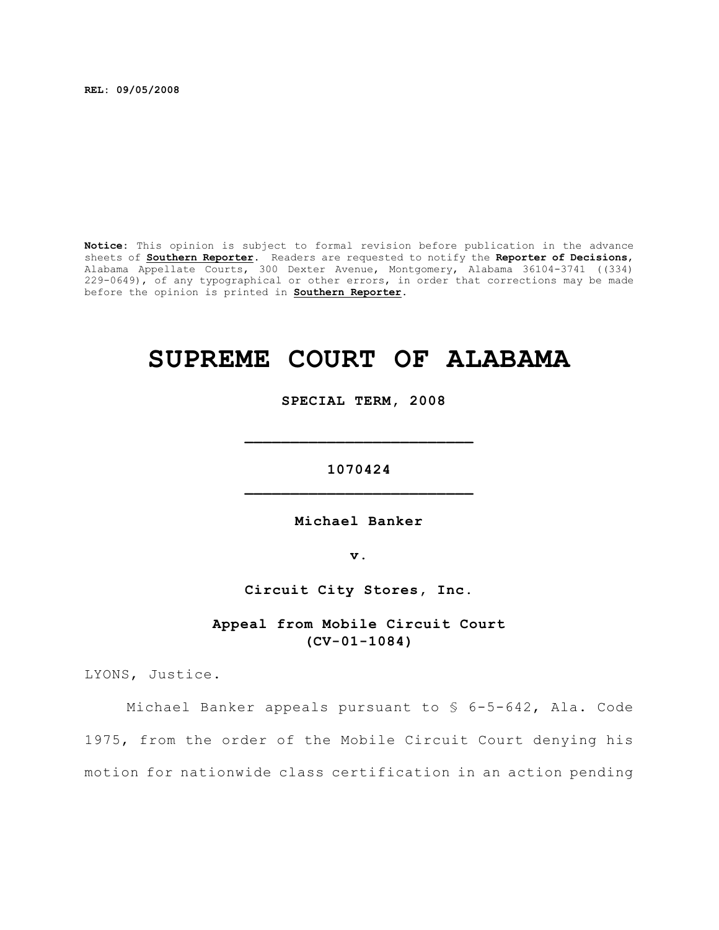**REL: 09/05/2008**

**Notice:** This opinion is subject to formal revision before publication in the advance sheets of **Southern Reporter**. Readers are requested to notify the **Reporter of Decisions**, Alabama Appellate Courts, 300 Dexter Avenue, Montgomery, Alabama 36104-3741 ((334) 229-0649), of any typographical or other errors, in order that corrections may be made before the opinion is printed in **Southern Reporter**.

# **SUPREME COURT OF ALABAMA**

 **SPECIAL TERM, 2008**

**1070424 \_\_\_\_\_\_\_\_\_\_\_\_\_\_\_\_\_\_\_\_\_\_\_\_\_**

**\_\_\_\_\_\_\_\_\_\_\_\_\_\_\_\_\_\_\_\_\_\_\_\_\_**

**Michael Banker**

**v.**

**Circuit City Stores, Inc.**

**Appeal from Mobile Circuit Court (CV-01-1084)**

LYONS, Justice.

Michael Banker appeals pursuant to § 6-5-642, Ala. Code 1975, from the order of the Mobile Circuit Court denying his motion for nationwide class certification in an action pending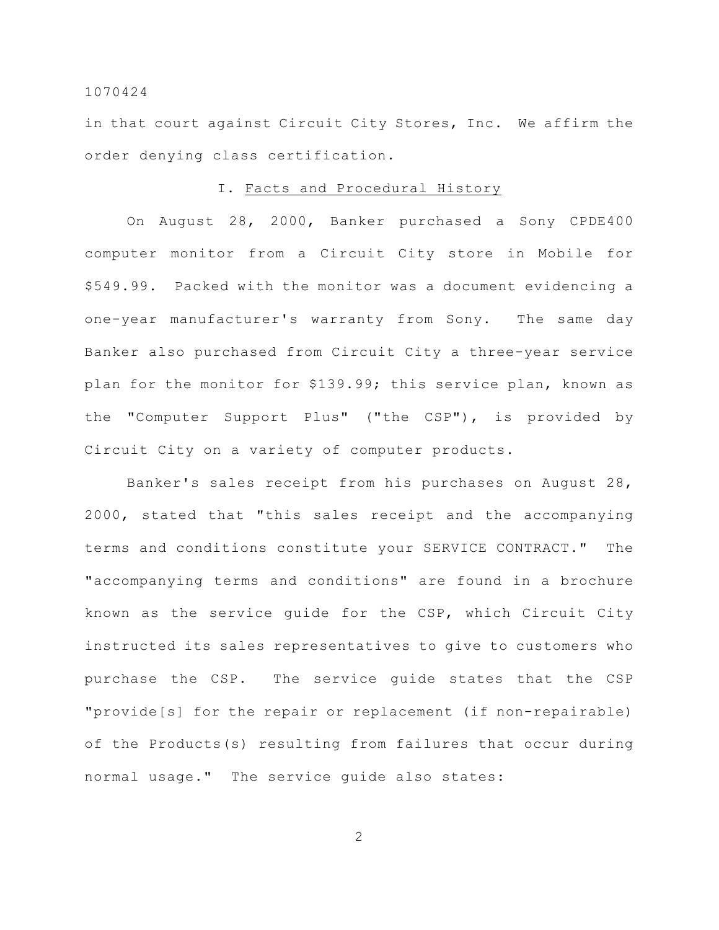in that court against Circuit City Stores, Inc. We affirm the order denying class certification.

## I. Facts and Procedural History

On August 28, 2000, Banker purchased a Sony CPDE400 computer monitor from a Circuit City store in Mobile for \$549.99. Packed with the monitor was a document evidencing a one-year manufacturer's warranty from Sony. The same day Banker also purchased from Circuit City a three-year service plan for the monitor for \$139.99; this service plan, known as the "Computer Support Plus" ("the CSP"), is provided by Circuit City on a variety of computer products.

Banker's sales receipt from his purchases on August 28, 2000, stated that "this sales receipt and the accompanying terms and conditions constitute your SERVICE CONTRACT." The "accompanying terms and conditions" are found in a brochure known as the service guide for the CSP, which Circuit City instructed its sales representatives to give to customers who purchase the CSP. The service guide states that the CSP "provide[s] for the repair or replacement (if non-repairable) of the Products(s) resulting from failures that occur during normal usage." The service guide also states: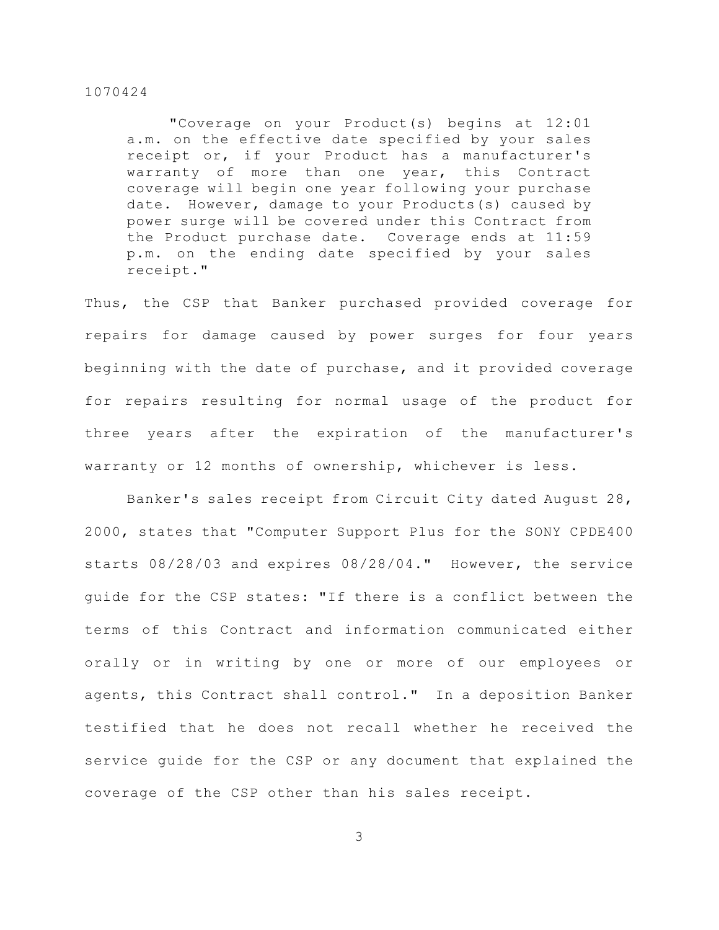"Coverage on your Product(s) begins at 12:01 a.m. on the effective date specified by your sales receipt or, if your Product has a manufacturer's warranty of more than one year, this Contract coverage will begin one year following your purchase date. However, damage to your Products(s) caused by power surge will be covered under this Contract from the Product purchase date. Coverage ends at 11:59 p.m. on the ending date specified by your sales receipt."

Thus, the CSP that Banker purchased provided coverage for repairs for damage caused by power surges for four years beginning with the date of purchase, and it provided coverage for repairs resulting for normal usage of the product for three years after the expiration of the manufacturer's warranty or 12 months of ownership, whichever is less.

Banker's sales receipt from Circuit City dated August 28, 2000, states that "Computer Support Plus for the SONY CPDE400 starts 08/28/03 and expires 08/28/04." However, the service guide for the CSP states: "If there is a conflict between the terms of this Contract and information communicated either orally or in writing by one or more of our employees or agents, this Contract shall control." In a deposition Banker testified that he does not recall whether he received the service guide for the CSP or any document that explained the coverage of the CSP other than his sales receipt.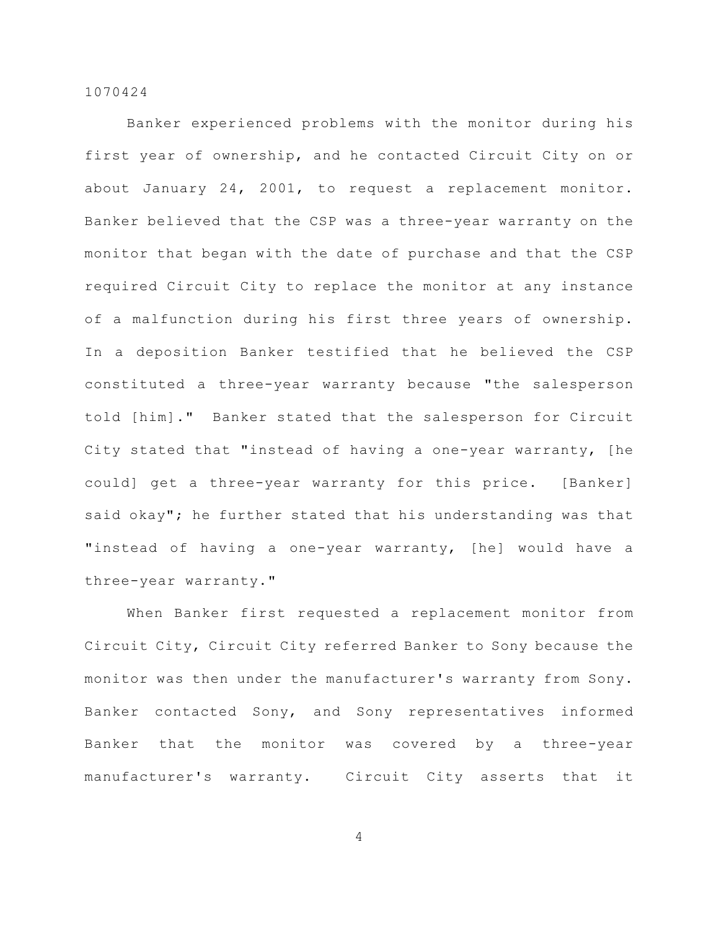Banker experienced problems with the monitor during his first year of ownership, and he contacted Circuit City on or about January 24, 2001, to request a replacement monitor. Banker believed that the CSP was a three-year warranty on the monitor that began with the date of purchase and that the CSP required Circuit City to replace the monitor at any instance of a malfunction during his first three years of ownership. In a deposition Banker testified that he believed the CSP constituted a three-year warranty because "the salesperson told [him]." Banker stated that the salesperson for Circuit City stated that "instead of having a one-year warranty, [he could] get a three-year warranty for this price. [Banker] said okay"; he further stated that his understanding was that "instead of having a one-year warranty, [he] would have a three-year warranty."

When Banker first requested a replacement monitor from Circuit City, Circuit City referred Banker to Sony because the monitor was then under the manufacturer's warranty from Sony. Banker contacted Sony, and Sony representatives informed Banker that the monitor was covered by a three-year manufacturer's warranty. Circuit City asserts that it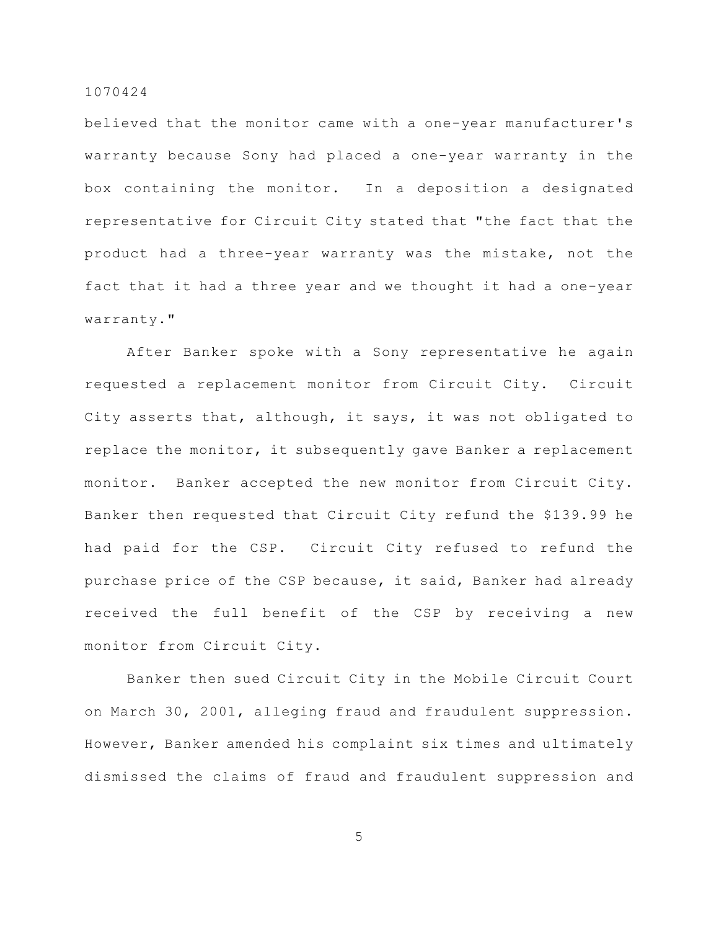believed that the monitor came with a one-year manufacturer's warranty because Sony had placed a one-year warranty in the box containing the monitor. In a deposition a designated representative for Circuit City stated that "the fact that the product had a three-year warranty was the mistake, not the fact that it had a three year and we thought it had a one-year warranty."

After Banker spoke with a Sony representative he again requested a replacement monitor from Circuit City. Circuit City asserts that, although, it says, it was not obligated to replace the monitor, it subsequently gave Banker a replacement monitor. Banker accepted the new monitor from Circuit City. Banker then requested that Circuit City refund the \$139.99 he had paid for the CSP. Circuit City refused to refund the purchase price of the CSP because, it said, Banker had already received the full benefit of the CSP by receiving a new monitor from Circuit City.

Banker then sued Circuit City in the Mobile Circuit Court on March 30, 2001, alleging fraud and fraudulent suppression. However, Banker amended his complaint six times and ultimately dismissed the claims of fraud and fraudulent suppression and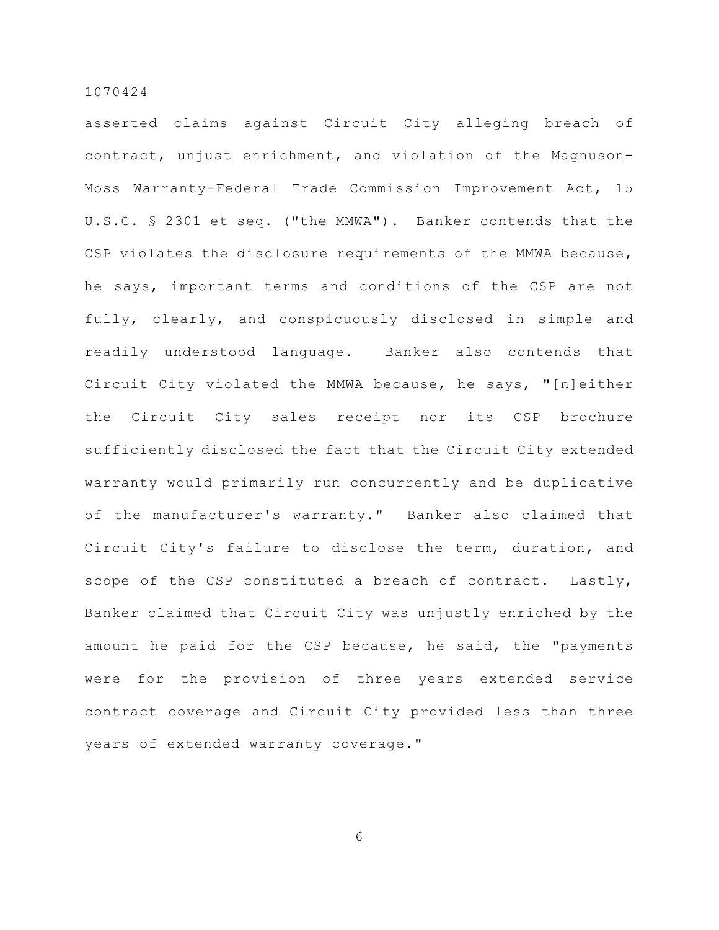asserted claims against Circuit City alleging breach of contract, unjust enrichment, and violation of the Magnuson-Moss Warranty-Federal Trade Commission Improvement Act, 15 U.S.C. § 2301 et seq. ("the MMWA"). Banker contends that the CSP violates the disclosure requirements of the MMWA because, he says, important terms and conditions of the CSP are not fully, clearly, and conspicuously disclosed in simple and readily understood language. Banker also contends that Circuit City violated the MMWA because, he says, "[n]either the Circuit City sales receipt nor its CSP brochure sufficiently disclosed the fact that the Circuit City extended warranty would primarily run concurrently and be duplicative of the manufacturer's warranty." Banker also claimed that Circuit City's failure to disclose the term, duration, and scope of the CSP constituted a breach of contract. Lastly, Banker claimed that Circuit City was unjustly enriched by the amount he paid for the CSP because, he said, the "payments were for the provision of three years extended service contract coverage and Circuit City provided less than three years of extended warranty coverage."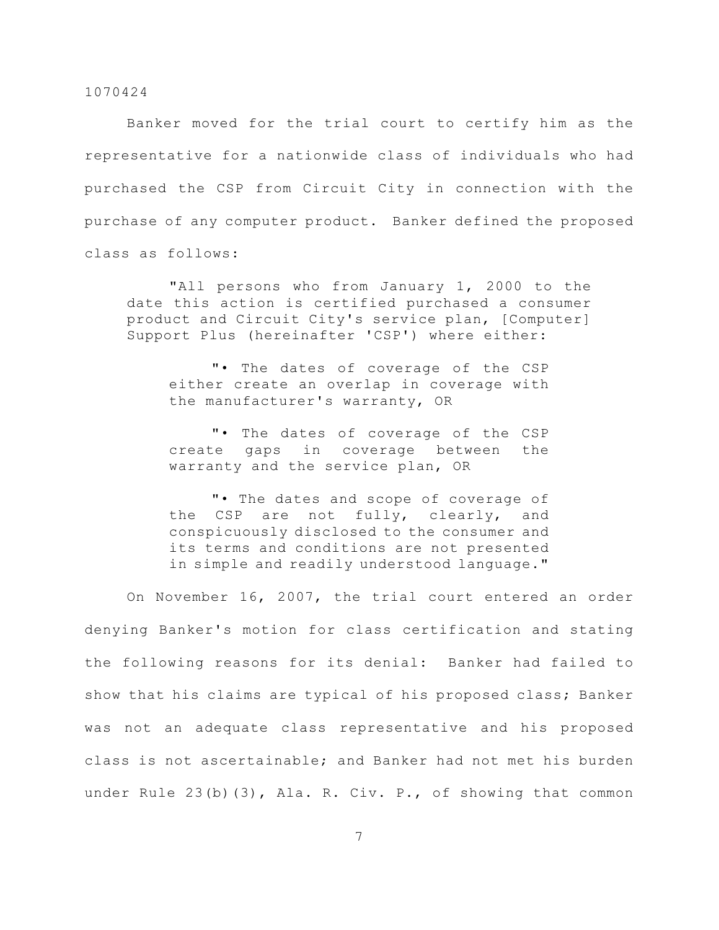Banker moved for the trial court to certify him as the representative for a nationwide class of individuals who had purchased the CSP from Circuit City in connection with the purchase of any computer product. Banker defined the proposed class as follows:

"All persons who from January 1, 2000 to the date this action is certified purchased a consumer product and Circuit City's service plan, [Computer] Support Plus (hereinafter 'CSP') where either:

"• The dates of coverage of the CSP either create an overlap in coverage with the manufacturer's warranty, OR

"• The dates of coverage of the CSP create gaps in coverage between the warranty and the service plan, OR

"• The dates and scope of coverage of the CSP are not fully, clearly, and conspicuously disclosed to the consumer and its terms and conditions are not presented in simple and readily understood language."

On November 16, 2007, the trial court entered an order denying Banker's motion for class certification and stating the following reasons for its denial: Banker had failed to show that his claims are typical of his proposed class; Banker was not an adequate class representative and his proposed class is not ascertainable; and Banker had not met his burden under Rule 23(b)(3), Ala. R. Civ. P., of showing that common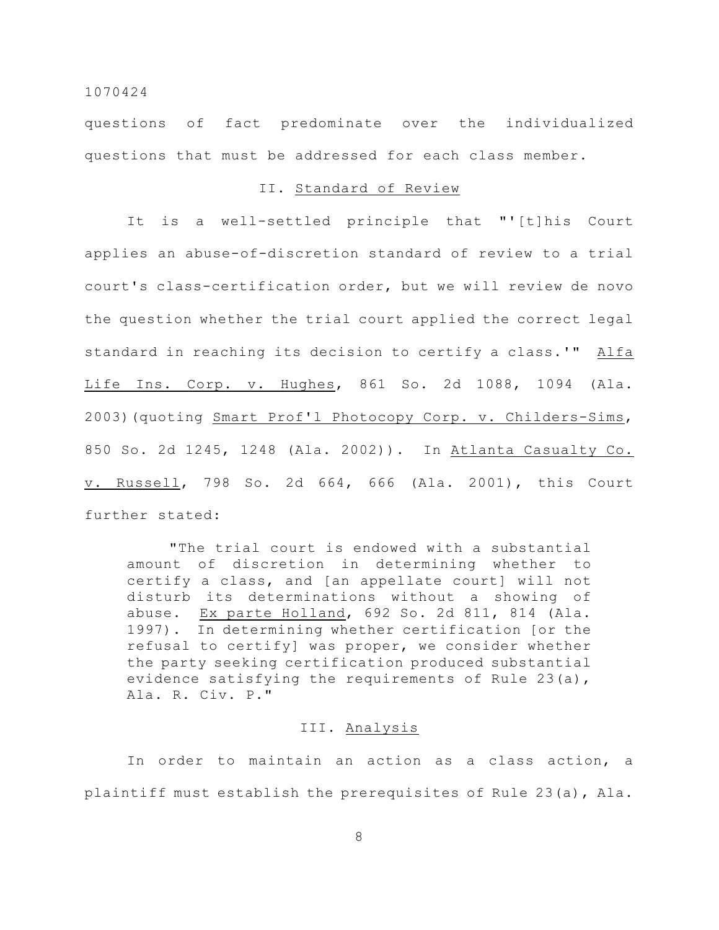questions of fact predominate over the individualized questions that must be addressed for each class member.

## II. Standard of Review

It is a well-settled principle that "'[t]his Court applies an abuse-of-discretion standard of review to a trial court's class-certification order, but we will review de novo the question whether the trial court applied the correct legal standard in reaching its decision to certify a class.'" Alfa Life Ins. Corp. v. Hughes, 861 So. 2d 1088, 1094 (Ala. 2003)(quoting Smart Prof'l Photocopy Corp. v. Childers-Sims, 850 So. 2d 1245, 1248 (Ala. 2002)). In Atlanta Casualty Co. v. Russell, 798 So. 2d 664, 666 (Ala. 2001), this Court further stated:

"The trial court is endowed with a substantial amount of discretion in determining whether to certify a class, and [an appellate court] will not disturb its determinations without a showing of abuse. Ex parte Holland, 692 So. 2d 811, 814 (Ala. 1997). In determining whether certification [or the refusal to certify] was proper, we consider whether the party seeking certification produced substantial evidence satisfying the requirements of Rule 23(a), Ala. R. Civ. P."

## III. Analysis

In order to maintain an action as a class action, a plaintiff must establish the prerequisites of Rule 23(a), Ala.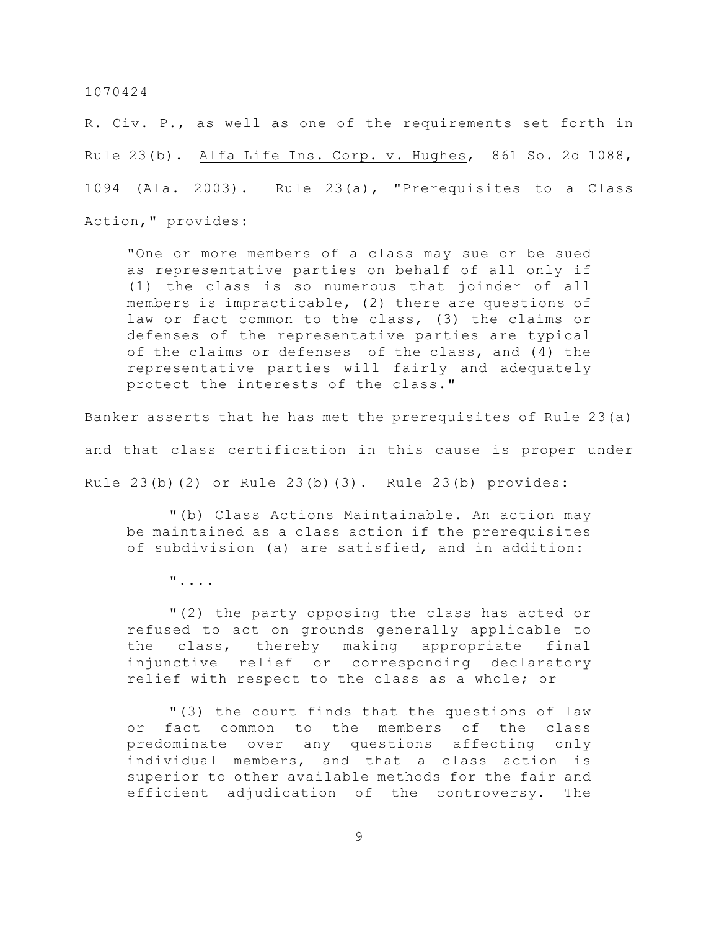R. Civ. P., as well as one of the requirements set forth in Rule 23(b). Alfa Life Ins. Corp. v. Hughes, 861 So. 2d 1088, 1094 (Ala. 2003). Rule 23(a), "Prerequisites to a Class Action," provides:

"One or more members of a class may sue or be sued as representative parties on behalf of all only if (1) the class is so numerous that joinder of all members is impracticable, (2) there are questions of law or fact common to the class, (3) the claims or defenses of the representative parties are typical of the claims or defenses of the class, and (4) the representative parties will fairly and adequately protect the interests of the class."

Banker asserts that he has met the prerequisites of Rule 23(a) and that class certification in this cause is proper under Rule 23(b)(2) or Rule 23(b)(3). Rule 23(b) provides:

"(b) Class Actions Maintainable. An action may be maintained as a class action if the prerequisites of subdivision (a) are satisfied, and in addition:

"....

"(2) the party opposing the class has acted or refused to act on grounds generally applicable to the class, thereby making appropriate final injunctive relief or corresponding declaratory relief with respect to the class as a whole; or

"(3) the court finds that the questions of law or fact common to the members of the class predominate over any questions affecting only individual members, and that a class action is superior to other available methods for the fair and efficient adjudication of the controversy. The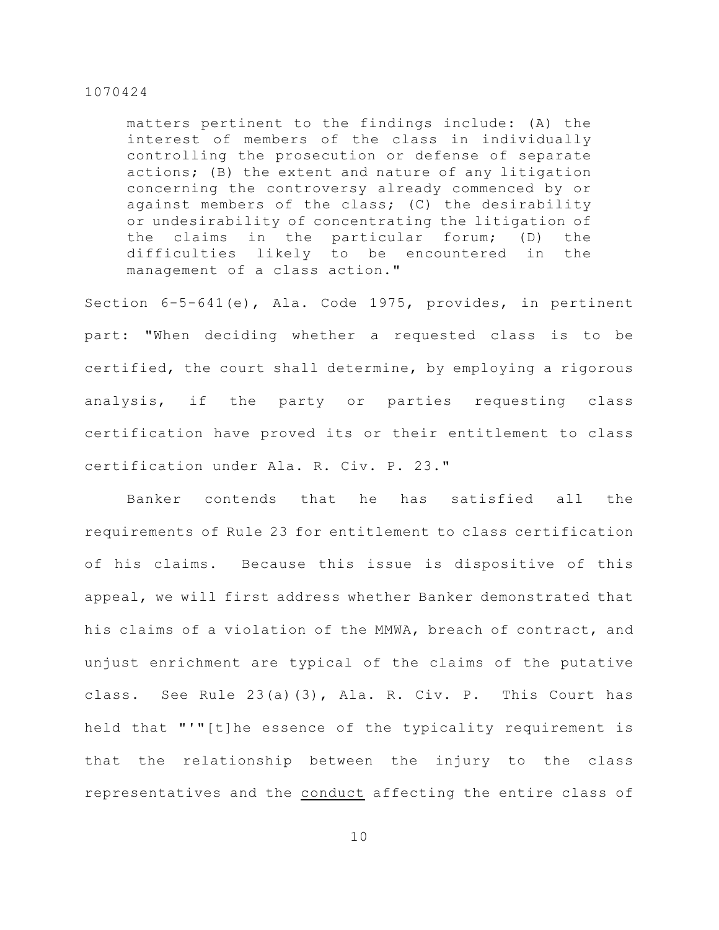matters pertinent to the findings include: (A) the interest of members of the class in individually controlling the prosecution or defense of separate actions; (B) the extent and nature of any litigation concerning the controversy already commenced by or against members of the class; (C) the desirability or undesirability of concentrating the litigation of the claims in the particular forum; (D) the difficulties likely to be encountered in the management of a class action."

Section 6-5-641(e), Ala. Code 1975, provides, in pertinent part: "When deciding whether a requested class is to be certified, the court shall determine, by employing a rigorous analysis, if the party or parties requesting class certification have proved its or their entitlement to class certification under Ala. R. Civ. P. 23."

Banker contends that he has satisfied all the requirements of Rule 23 for entitlement to class certification of his claims. Because this issue is dispositive of this appeal, we will first address whether Banker demonstrated that his claims of a violation of the MMWA, breach of contract, and unjust enrichment are typical of the claims of the putative class. See Rule 23(a)(3), Ala. R. Civ. P. This Court has held that "'"[t]he essence of the typicality requirement is that the relationship between the injury to the class representatives and the conduct affecting the entire class of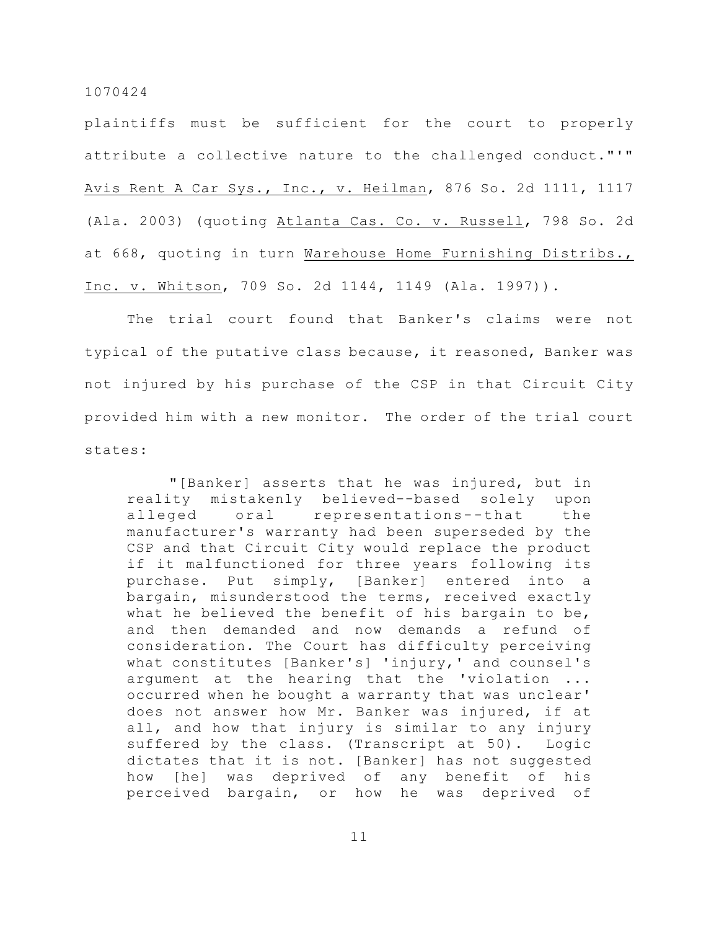plaintiffs must be sufficient for the court to properly attribute a collective nature to the challenged conduct."'" Avis Rent A Car Sys., Inc., v. Heilman, 876 So. 2d 1111, 1117 (Ala. 2003) (quoting Atlanta Cas. Co. v. Russell, 798 So. 2d at 668, quoting in turn Warehouse Home Furnishing Distribs., Inc. v. Whitson, 709 So. 2d 1144, 1149 (Ala. 1997)).

The trial court found that Banker's claims were not typical of the putative class because, it reasoned, Banker was not injured by his purchase of the CSP in that Circuit City provided him with a new monitor. The order of the trial court states:

"[Banker] asserts that he was injured, but in reality mistakenly believed--based solely upon alleged oral representations--that the manufacturer's warranty had been superseded by the CSP and that Circuit City would replace the product if it malfunctioned for three years following its purchase. Put simply, [Banker] entered into a bargain, misunderstood the terms, received exactly what he believed the benefit of his bargain to be, and then demanded and now demands a refund of consideration. The Court has difficulty perceiving what constitutes [Banker's] 'injury,' and counsel's argument at the hearing that the 'violation ... occurred when he bought a warranty that was unclear' does not answer how Mr. Banker was injured, if at all, and how that injury is similar to any injury suffered by the class. (Transcript at 50). Logic dictates that it is not. [Banker] has not suggested how [he] was deprived of any benefit of his perceived bargain, or how he was deprived of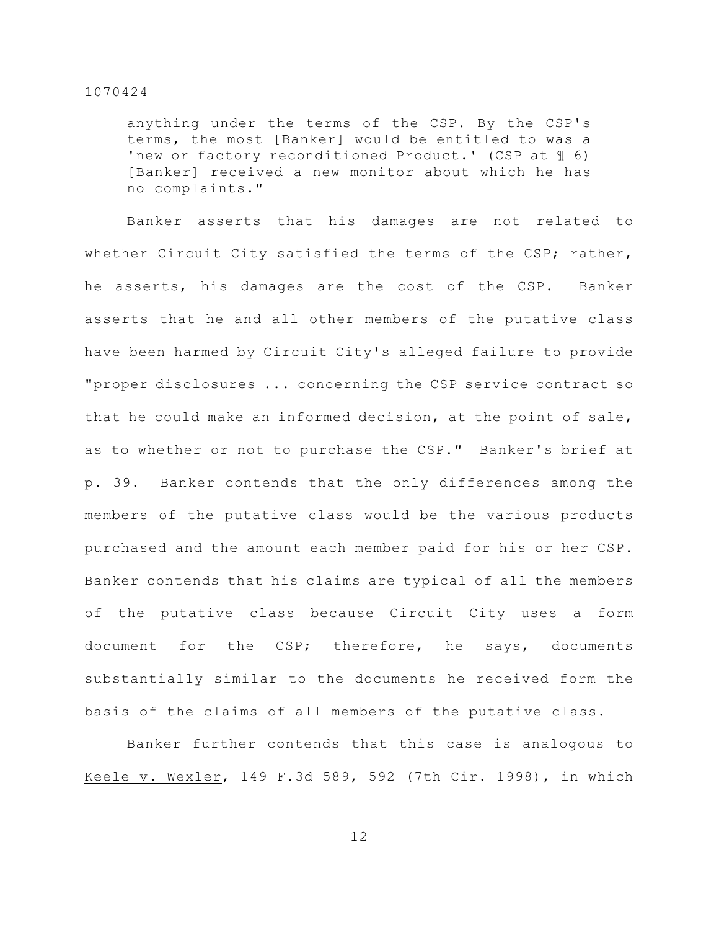anything under the terms of the CSP. By the CSP's terms, the most [Banker] would be entitled to was a 'new or factory reconditioned Product.' (CSP at ¶ 6) [Banker] received a new monitor about which he has no complaints."

Banker asserts that his damages are not related to whether Circuit City satisfied the terms of the CSP; rather, he asserts, his damages are the cost of the CSP. Banker asserts that he and all other members of the putative class have been harmed by Circuit City's alleged failure to provide "proper disclosures ... concerning the CSP service contract so that he could make an informed decision, at the point of sale, as to whether or not to purchase the CSP." Banker's brief at p. 39. Banker contends that the only differences among the members of the putative class would be the various products purchased and the amount each member paid for his or her CSP. Banker contends that his claims are typical of all the members of the putative class because Circuit City uses a form document for the CSP; therefore, he says, documents substantially similar to the documents he received form the basis of the claims of all members of the putative class.

Banker further contends that this case is analogous to Keele v. Wexler, 149 F.3d 589, 592 (7th Cir. 1998), in which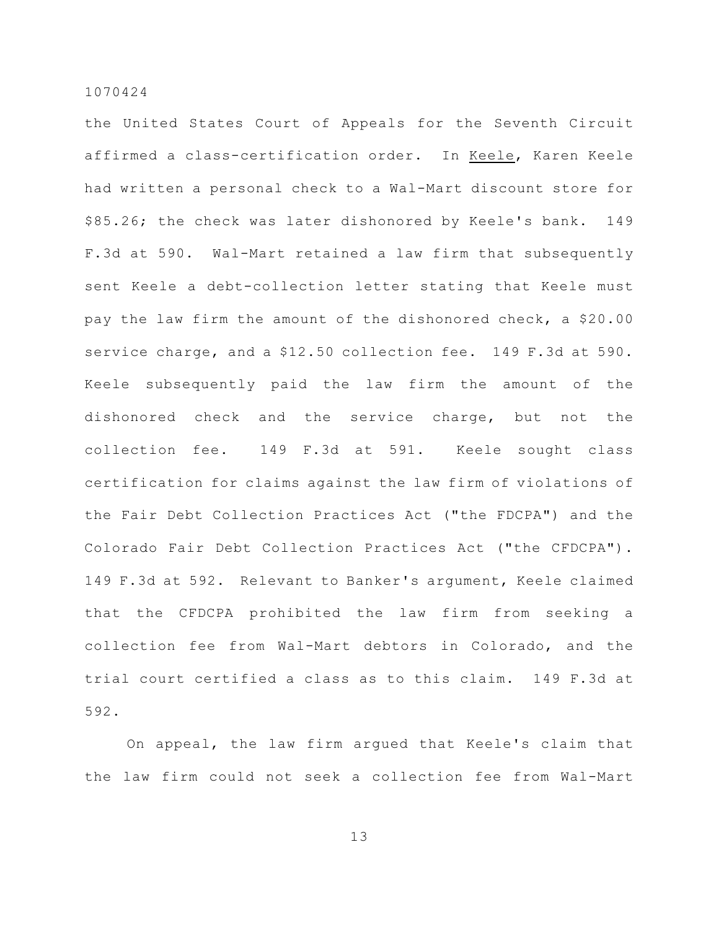the United States Court of Appeals for the Seventh Circuit affirmed a class-certification order. In Keele, Karen Keele had written a personal check to a Wal-Mart discount store for \$85.26; the check was later dishonored by Keele's bank. 149 F.3d at 590. Wal-Mart retained a law firm that subsequently sent Keele a debt-collection letter stating that Keele must pay the law firm the amount of the dishonored check, a \$20.00 service charge, and a \$12.50 collection fee. 149 F.3d at 590. Keele subsequently paid the law firm the amount of the dishonored check and the service charge, but not the collection fee. 149 F.3d at 591. Keele sought class certification for claims against the law firm of violations of the Fair Debt Collection Practices Act ("the FDCPA") and the Colorado Fair Debt Collection Practices Act ("the CFDCPA"). 149 F.3d at 592. Relevant to Banker's argument, Keele claimed that the CFDCPA prohibited the law firm from seeking a collection fee from Wal-Mart debtors in Colorado, and the trial court certified a class as to this claim. 149 F.3d at 592.

On appeal, the law firm argued that Keele's claim that the law firm could not seek a collection fee from Wal-Mart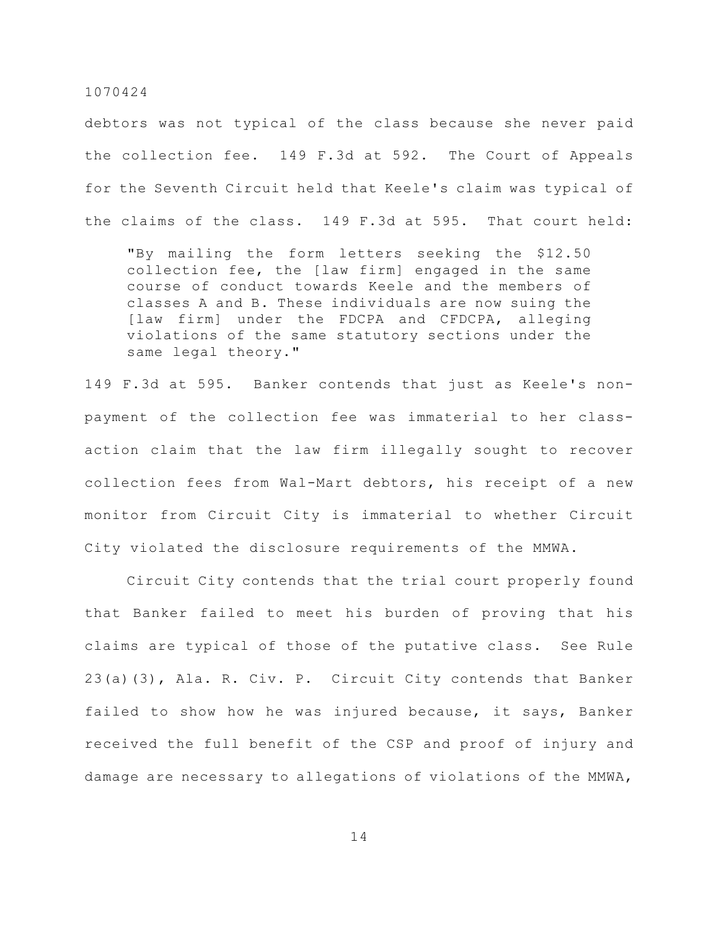debtors was not typical of the class because she never paid the collection fee. 149 F.3d at 592. The Court of Appeals for the Seventh Circuit held that Keele's claim was typical of the claims of the class. 149 F.3d at 595. That court held:

"By mailing the form letters seeking the \$12.50 collection fee, the [law firm] engaged in the same course of conduct towards Keele and the members of classes A and B. These individuals are now suing the [law firm] under the FDCPA and CFDCPA, alleging violations of the same statutory sections under the same legal theory."

149 F.3d at 595. Banker contends that just as Keele's nonpayment of the collection fee was immaterial to her classaction claim that the law firm illegally sought to recover collection fees from Wal-Mart debtors, his receipt of a new monitor from Circuit City is immaterial to whether Circuit City violated the disclosure requirements of the MMWA.

Circuit City contends that the trial court properly found that Banker failed to meet his burden of proving that his claims are typical of those of the putative class. See Rule 23(a)(3), Ala. R. Civ. P. Circuit City contends that Banker failed to show how he was injured because, it says, Banker received the full benefit of the CSP and proof of injury and damage are necessary to allegations of violations of the MMWA,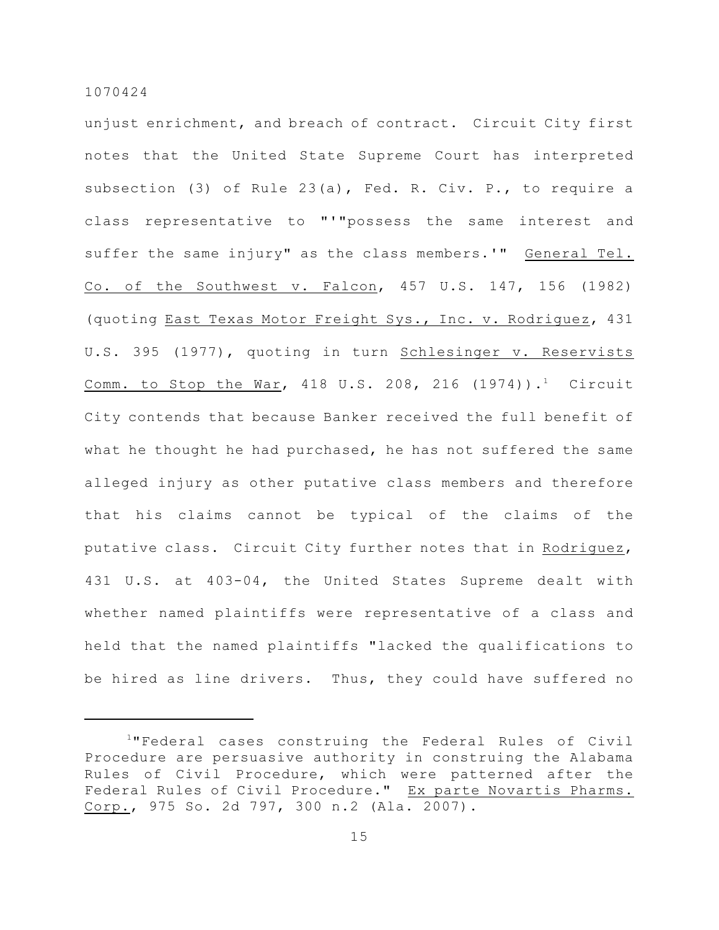unjust enrichment, and breach of contract. Circuit City first notes that the United State Supreme Court has interpreted subsection (3) of Rule 23(a), Fed. R. Civ. P., to require a class representative to "'"possess the same interest and suffer the same injury" as the class members.'" General Tel. Co. of the Southwest v. Falcon, 457 U.S. 147, 156 (1982) (quoting East Texas Motor Freight Sys., Inc. v. Rodriguez, 431 U.S. 395 (1977), quoting in turn Schlesinger v. Reservists Comm. to Stop the War, 418 U.S. 208, 216  $(1974)$ ).<sup>1</sup> Circuit City contends that because Banker received the full benefit of what he thought he had purchased, he has not suffered the same alleged injury as other putative class members and therefore that his claims cannot be typical of the claims of the putative class. Circuit City further notes that in Rodriguez, 431 U.S. at 403-04, the United States Supreme dealt with whether named plaintiffs were representative of a class and held that the named plaintiffs "lacked the qualifications to be hired as line drivers. Thus, they could have suffered no

<sup>&</sup>lt;sup>1</sup>"Federal cases construing the Federal Rules of Civil Procedure are persuasive authority in construing the Alabama Rules of Civil Procedure, which were patterned after the Federal Rules of Civil Procedure." Ex parte Novartis Pharms. Corp., 975 So. 2d 797, 300 n.2 (Ala. 2007).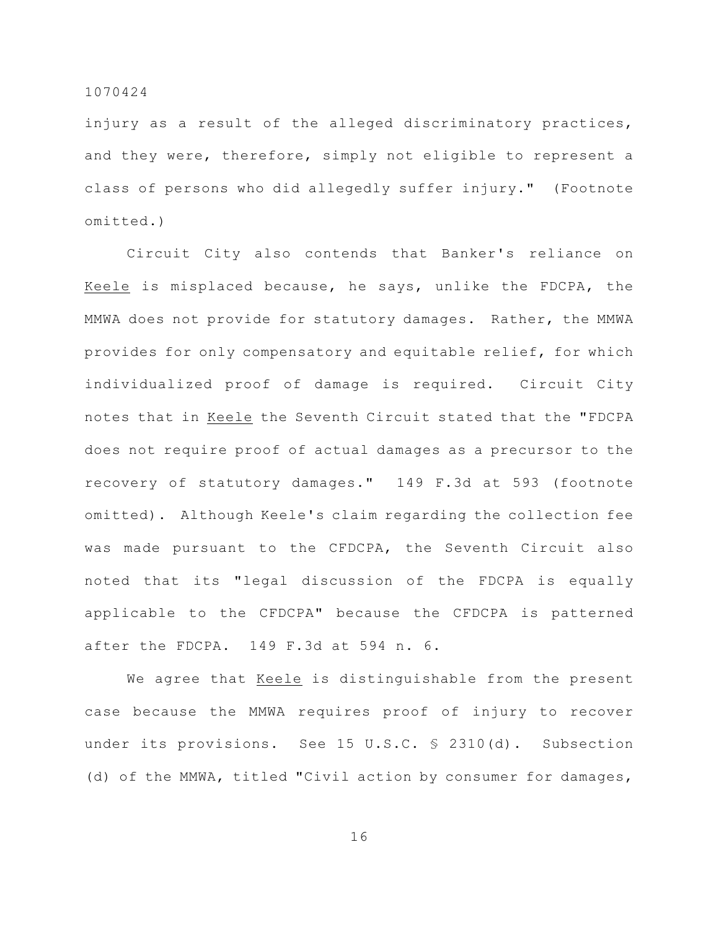injury as a result of the alleged discriminatory practices, and they were, therefore, simply not eligible to represent a class of persons who did allegedly suffer injury." (Footnote omitted.)

Circuit City also contends that Banker's reliance on Keele is misplaced because, he says, unlike the FDCPA, the MMWA does not provide for statutory damages. Rather, the MMWA provides for only compensatory and equitable relief, for which individualized proof of damage is required. Circuit City notes that in Keele the Seventh Circuit stated that the "FDCPA does not require proof of actual damages as a precursor to the recovery of statutory damages." 149 F.3d at 593 (footnote omitted). Although Keele's claim regarding the collection fee was made pursuant to the CFDCPA, the Seventh Circuit also noted that its "legal discussion of the FDCPA is equally applicable to the CFDCPA" because the CFDCPA is patterned after the FDCPA. 149 F.3d at 594 n. 6.

We agree that Keele is distinguishable from the present case because the MMWA requires proof of injury to recover under its provisions. See 15 U.S.C. § 2310(d). Subsection (d) of the MMWA, titled "Civil action by consumer for damages,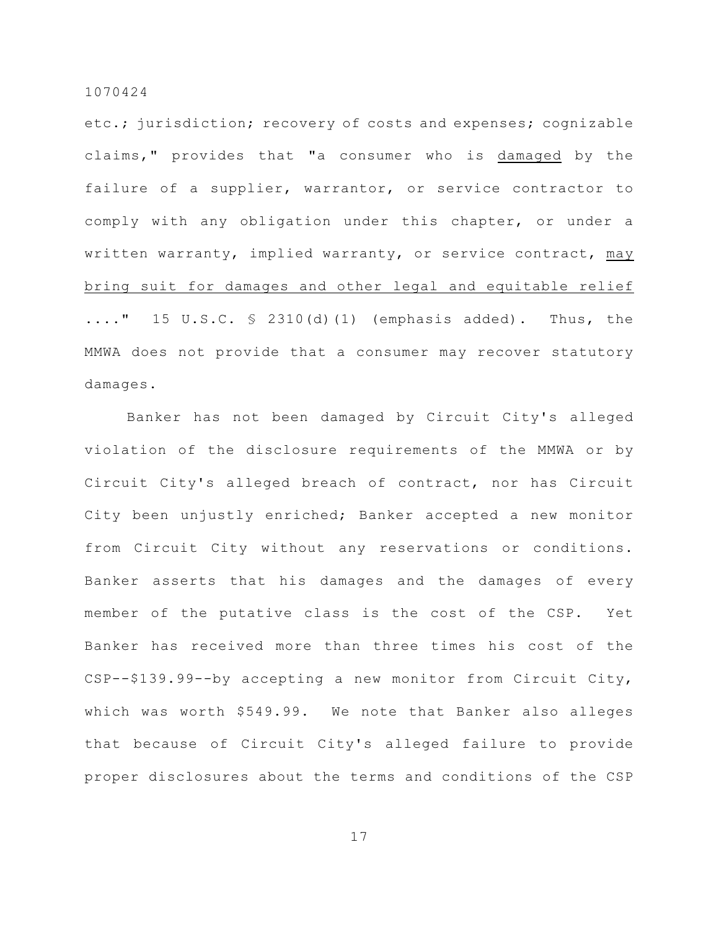etc.; jurisdiction; recovery of costs and expenses; cognizable claims," provides that "a consumer who is damaged by the failure of a supplier, warrantor, or service contractor to comply with any obligation under this chapter, or under a written warranty, implied warranty, or service contract, may bring suit for damages and other legal and equitable relief  $\ldots$ ..." 15 U.S.C.  $\frac{1}{2}$  2310(d)(1) (emphasis added). Thus, the MMWA does not provide that a consumer may recover statutory damages.

Banker has not been damaged by Circuit City's alleged violation of the disclosure requirements of the MMWA or by Circuit City's alleged breach of contract, nor has Circuit City been unjustly enriched; Banker accepted a new monitor from Circuit City without any reservations or conditions. Banker asserts that his damages and the damages of every member of the putative class is the cost of the CSP. Yet Banker has received more than three times his cost of the CSP--\$139.99--by accepting a new monitor from Circuit City, which was worth \$549.99. We note that Banker also alleges that because of Circuit City's alleged failure to provide proper disclosures about the terms and conditions of the CSP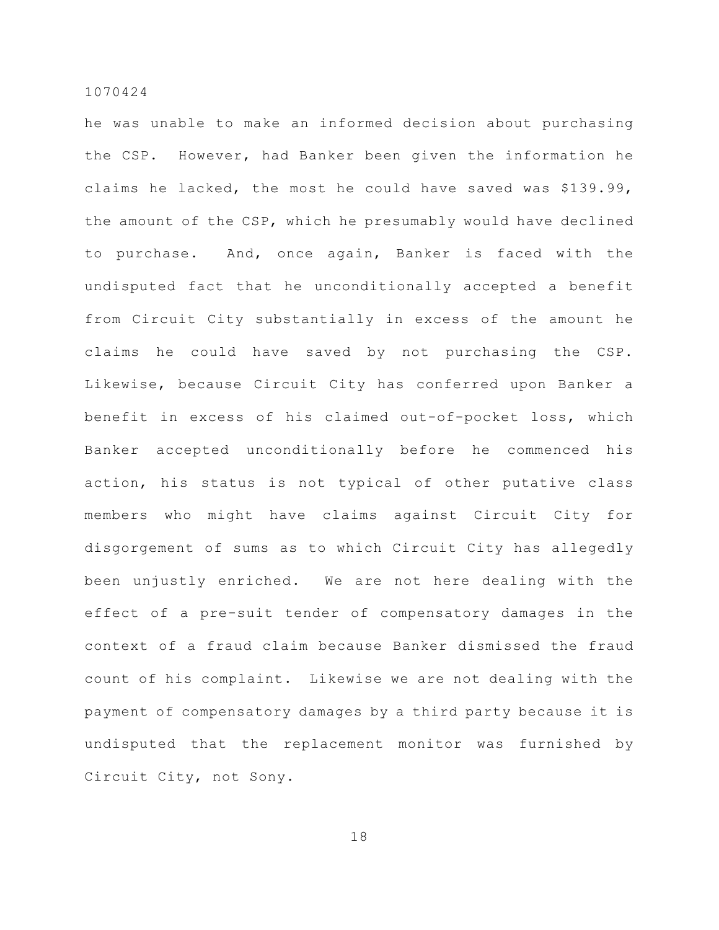he was unable to make an informed decision about purchasing the CSP. However, had Banker been given the information he claims he lacked, the most he could have saved was \$139.99, the amount of the CSP, which he presumably would have declined to purchase. And, once again, Banker is faced with the undisputed fact that he unconditionally accepted a benefit from Circuit City substantially in excess of the amount he claims he could have saved by not purchasing the CSP. Likewise, because Circuit City has conferred upon Banker a benefit in excess of his claimed out-of-pocket loss, which Banker accepted unconditionally before he commenced his action, his status is not typical of other putative class members who might have claims against Circuit City for disgorgement of sums as to which Circuit City has allegedly been unjustly enriched. We are not here dealing with the effect of a pre-suit tender of compensatory damages in the context of a fraud claim because Banker dismissed the fraud count of his complaint. Likewise we are not dealing with the payment of compensatory damages by a third party because it is undisputed that the replacement monitor was furnished by Circuit City, not Sony.